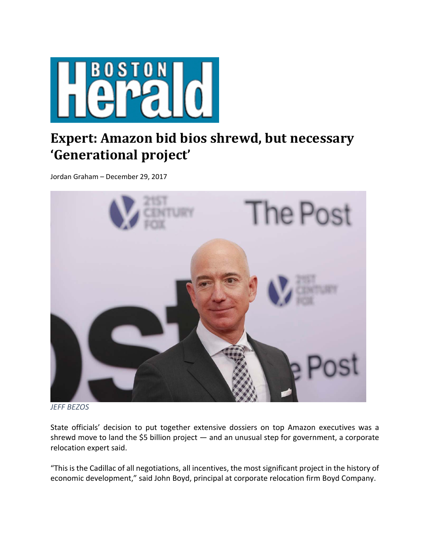

## **Expert: Amazon bid bios shrewd, but necessary 'Generational project'**

Jordan Graham – December 29, 2017



*JEFF BEZOS*

State officials' decision to put together extensive dossiers on top Amazon executives was a shrewd move to land the \$5 billion project — and an unusual step for government, a corporate relocation expert said.

"This is the Cadillac of all negotiations, all incentives, the most significant project in the history of economic development," said John Boyd, principal at corporate relocation firm Boyd Company.